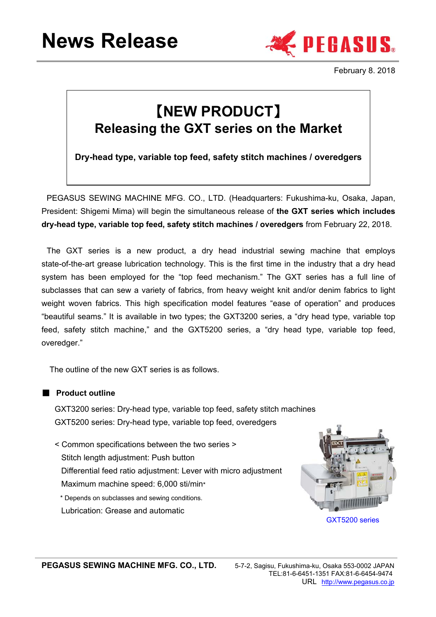

February 8. 2018

# 【**NEW PRODUCT**】 **Releasing the GXT series on the Market**

**Dry-head type, variable top feed, safety stitch machines / overedgers**

PEGASUS SEWING MACHINE MFG. CO., LTD. (Headquarters: Fukushima-ku, Osaka, Japan, President: Shigemi Mima) will begin the simultaneous release of **the GXT series which includes dry-head type, variable top feed, safety stitch machines / overedgers** from February 22, 2018.

The GXT series is a new product, a dry head industrial sewing machine that employs state-of-the-art grease lubrication technology. This is the first time in the industry that a dry head system has been employed for the "top feed mechanism." The GXT series has a full line of subclasses that can sew a variety of fabrics, from heavy weight knit and/or denim fabrics to light weight woven fabrics. This high specification model features "ease of operation" and produces "beautiful seams." It is available in two types; the GXT3200 series, a "dry head type, variable top feed, safety stitch machine," and the GXT5200 series, a "dry head type, variable top feed, overedger."

The outline of the new GXT series is as follows.

■ **Product outline**

GXT3200 series: Dry-head type, variable top feed, safety stitch machines GXT5200 series: Dry-head type, variable top feed, overedgers

< Common specifications between the two series > Stitch length adjustment: Push button Differential feed ratio adjustment: Lever with micro adjustment Maximum machine speed: 6,000 sti/min\*

\* Depends on subclasses and sewing conditions. Lubrication: Grease and automatic

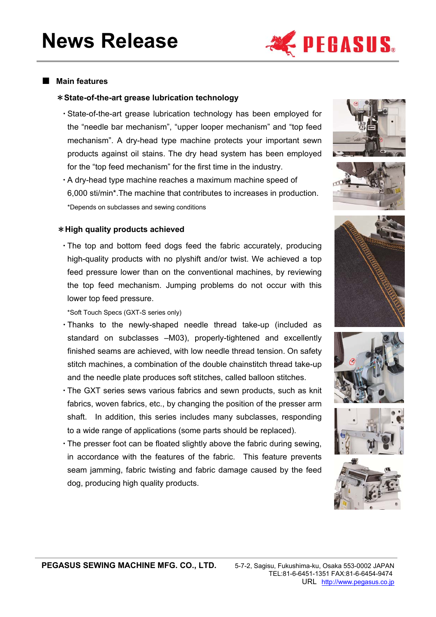

## ■ **Main features**

#### \***State-of-the-art grease lubrication technology**

- ・State-of-the-art grease lubrication technology has been employed for the "needle bar mechanism", "upper looper mechanism" and "top feed mechanism". A dry-head type machine protects your important sewn products against oil stains. The dry head system has been employed for the "top feed mechanism" for the first time in the industry.
- ・A dry-head type machine reaches a maximum machine speed of 6,000 sti/min\*.The machine that contributes to increases in production. \*Depends on subclasses and sewing conditions





#### \***High quality products achieved**

・The top and bottom feed dogs feed the fabric accurately, producing high-quality products with no plyshift and/or twist. We achieved a top feed pressure lower than on the conventional machines, by reviewing the top feed mechanism. Jumping problems do not occur with this lower top feed pressure.

\*Soft Touch Specs (GXT-S series only)

- ・Thanks to the newly-shaped needle thread take-up (included as standard on subclasses –M03), properly-tightened and excellently finished seams are achieved, with low needle thread tension. On safety stitch machines, a combination of the double chainstitch thread take-up and the needle plate produces soft stitches, called balloon stitches.
- ・The GXT series sews various fabrics and sewn products, such as knit fabrics, woven fabrics, etc., by changing the position of the presser arm shaft. In addition, this series includes many subclasses, responding to a wide range of applications (some parts should be replaced).
- ・The presser foot can be floated slightly above the fabric during sewing, in accordance with the features of the fabric. This feature prevents seam jamming, fabric twisting and fabric damage caused by the feed dog, producing high quality products.